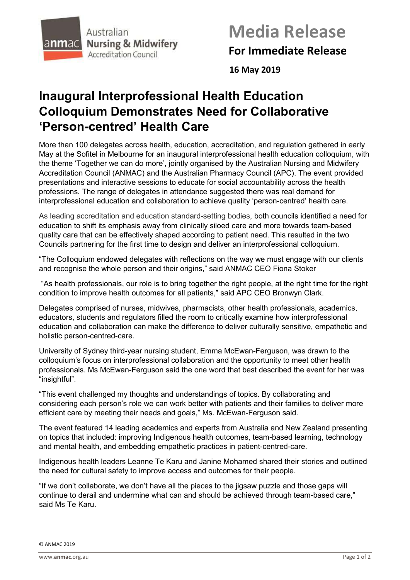

# **Media Release For Immediate Release**

 **16 May 2019**

## **Inaugural Interprofessional Health Education Colloquium Demonstrates Need for Collaborative 'Person-centred' Health Care**

More than 100 delegates across health, education, accreditation, and regulation gathered in early May at the Sofitel in Melbourne for an inaugural interprofessional health education colloquium, with the theme 'Together we can do more', jointly organised by the Australian Nursing and Midwifery Accreditation Council (ANMAC) and the Australian Pharmacy Council (APC). The event provided presentations and interactive sessions to educate for social accountability across the health professions. The range of delegates in attendance suggested there was real demand for interprofessional education and collaboration to achieve quality 'person-centred' health care.

As leading accreditation and education standard-setting bodies, both councils identified a need for education to shift its emphasis away from clinically siloed care and more towards team-based quality care that can be effectively shaped according to patient need. This resulted in the two Councils partnering for the first time to design and deliver an interprofessional colloquium.

"The Colloquium endowed delegates with reflections on the way we must engage with our clients and recognise the whole person and their origins," said ANMAC CEO Fiona Stoker

"As health professionals, our role is to bring together the right people, at the right time for the right condition to improve health outcomes for all patients," said APC CEO Bronwyn Clark.

Delegates comprised of nurses, midwives, pharmacists, other health professionals, academics, educators, students and regulators filled the room to critically examine how interprofessional education and collaboration can make the difference to deliver culturally sensitive, empathetic and holistic person-centred-care.

University of Sydney third-year nursing student, Emma McEwan-Ferguson, was drawn to the colloquium's focus on interprofessional collaboration and the opportunity to meet other health professionals. Ms McEwan-Ferguson said the one word that best described the event for her was "insightful".

"This event challenged my thoughts and understandings of topics. By collaborating and considering each person's role we can work better with patients and their families to deliver more efficient care by meeting their needs and goals," Ms. McEwan-Ferguson said.

The event featured 14 leading academics and experts from Australia and New Zealand presenting on topics that included: improving Indigenous health outcomes, team-based learning, technology and mental health, and embedding empathetic practices in patient-centred-care.

Indigenous health leaders Leanne Te Karu and Janine Mohamed shared their stories and outlined the need for cultural safety to improve access and outcomes for their people.

"If we don't collaborate, we don't have all the pieces to the jigsaw puzzle and those gaps will continue to derail and undermine what can and should be achieved through team-based care," said Ms Te Karu.

<sup>©</sup> ANMAC 2019